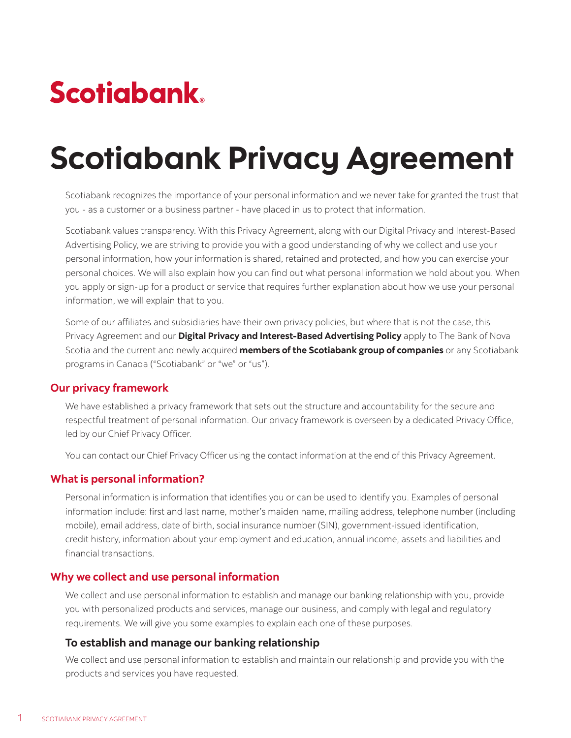# **Scotiabank**

# Scotiabank Privacy Agreement

Scotiabank recognizes the importance of your personal information and we never take for granted the trust that you - as a customer or a business partner - have placed in us to protect that information.

Scotiabank values transparency. With this Privacy Agreement, along with our Digital Privacy and Interest-Based Advertising Policy, we are striving to provide you with a good understanding of why we collect and use your personal information, how your information is shared, retained and protected, and how you can exercise your personal choices. We will also explain how you can find out what personal information we hold about you. When you apply or sign-up for a product or service that requires further explanation about how we use your personal information, we will explain that to you.

Some of our affiliates and subsidiaries have their own privacy policies, but where that is not the case, this Privacy Agreement and our **[Digital Privacy and Interest-Based Advertising Policy](https://www.scotiabank.com/ca/en/about/contact-us/privacy/privacy-cookies.html )** apply to The Bank of Nova Scotia and the current and newly acquired **[members of the Scotiabank group of companies](https://www.scotiabank.com/ca/en/personal/campaigns/scotiabank-members.html)** or any Scotiabank programs in Canada ("Scotiabank" or "we" or "us").

#### **Our privacy framework**

We have established a privacy framework that sets out the structure and accountability for the secure and respectful treatment of personal information. Our privacy framework is overseen by a dedicated Privacy Office, led by our Chief Privacy Officer.

You can contact our Chief Privacy Officer using the contact information at the end of this Privacy Agreement.

#### **What is personal information?**

Personal information is information that identifies you or can be used to identify you. Examples of personal information include: first and last name, mother's maiden name, mailing address, telephone number (including mobile), email address, date of birth, social insurance number (SIN), government-issued identification, credit history, information about your employment and education, annual income, assets and liabilities and financial transactions.

#### **Why we collect and use personal information**

We collect and use personal information to establish and manage our banking relationship with you, provide you with personalized products and services, manage our business, and comply with legal and regulatory requirements. We will give you some examples to explain each one of these purposes.

#### **To establish and manage our banking relationship**

We collect and use personal information to establish and maintain our relationship and provide you with the products and services you have requested.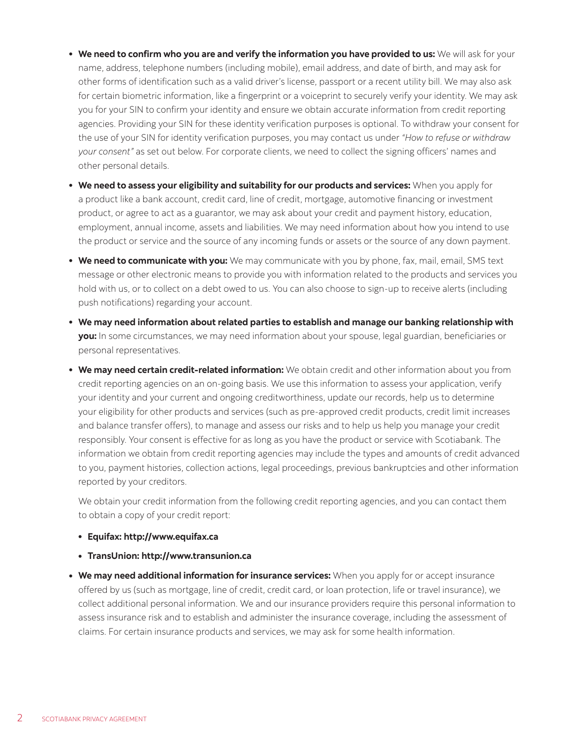- **• We need to confirm who you are and verify the information you have provided to us:** We will ask for your name, address, telephone numbers (including mobile), email address, and date of birth, and may ask for other forms of identification such as a valid driver's license, passport or a recent utility bill. We may also ask for certain biometric information, like a fingerprint or a voiceprint to securely verify your identity. We may ask you for your SIN to confirm your identity and ensure we obtain accurate information from credit reporting agencies. Providing your SIN for these identity verification purposes is optional. To withdraw your consent for the use of your SIN for identity verification purposes, you may contact us under *"How to refuse or withdraw your consent"* as set out below. For corporate clients, we need to collect the signing officers' names and other personal details.
- **• We need to assess your eligibility and suitability for our products and services:** When you apply for a product like a bank account, credit card, line of credit, mortgage, automotive financing or investment product, or agree to act as a guarantor, we may ask about your credit and payment history, education, employment, annual income, assets and liabilities. We may need information about how you intend to use the product or service and the source of any incoming funds or assets or the source of any down payment.
- **• We need to communicate with you:** We may communicate with you by phone, fax, mail, email, SMS text message or other electronic means to provide you with information related to the products and services you hold with us, or to collect on a debt owed to us. You can also choose to sign-up to receive alerts (including push notifications) regarding your account.
- **• We may need information about related parties to establish and manage our banking relationship with you:** In some circumstances, we may need information about your spouse, legal guardian, beneficiaries or personal representatives.
- **• We may need certain credit-related information:** We obtain credit and other information about you from credit reporting agencies on an on-going basis. We use this information to assess your application, verify your identity and your current and ongoing creditworthiness, update our records, help us to determine your eligibility for other products and services (such as pre-approved credit products, credit limit increases and balance transfer offers), to manage and assess our risks and to help us help you manage your credit responsibly. Your consent is effective for as long as you have the product or service with Scotiabank. The information we obtain from credit reporting agencies may include the types and amounts of credit advanced to you, payment histories, collection actions, legal proceedings, previous bankruptcies and other information reported by your creditors.

We obtain your credit information from the following credit reporting agencies, and you can contact them to obtain a copy of your credit report:

- **• Equifax: http://www.equifax.ca**
- **• TransUnion: http://www.transunion.ca**
- **• We may need additional information for insurance services:** When you apply for or accept insurance offered by us (such as mortgage, line of credit, credit card, or loan protection, life or travel insurance), we collect additional personal information. We and our insurance providers require this personal information to assess insurance risk and to establish and administer the insurance coverage, including the assessment of claims. For certain insurance products and services, we may ask for some health information.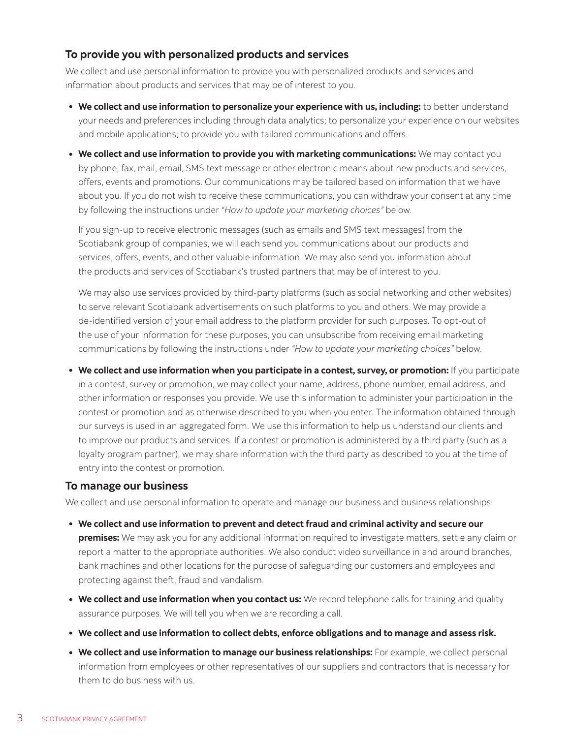# **To provide you with personalized products and services**

We collect and use personal information to provide you with personalized products and services and information about products and services that may be of interest to you.

- **• We collect and use information to personalize your experience with us, including:** to better understand your needs and preferences including through data analytics; to personalize your experience on our websites and mobile applications; to provide you with tailored communications and offers.
- **• We collect and use information to provide you with marketing communications:** We may contact you by phone, fax, mail, email, SMS text message or other electronic means about new products and services, offers, events and promotions. Our communications may be tailored based on information that we have about you. If you do not wish to receive these communications, you can withdraw your consent at any time by following the instructions under *"How to update your marketing choices"* below.

If you sign-up to receive electronic messages (such as emails and SMS text messages) from the Scotiabank group of companies, we will each send you communications about our products and services, offers, events, and other valuable information. We may also send you information about the products and services of Scotiabank's trusted partners that may be of interest to you.

We may also use services provided by third-party platforms (such as social networking and other websites) to serve relevant Scotiabank advertisements on such platforms to you and others. We may provide a de-identified version of your email address to the platform provider for such purposes. To opt-out of the use of your information for these purposes, you can unsubscribe from receiving email marketing communications by following the instructions under *"How to update your marketing choices"* below.

**• We collect and use information when you participate in a contest, survey, or promotion:** If you participate in a contest, survey or promotion, we may collect your name, address, phone number, email address, and other information or responses you provide. We use this information to administer your participation in the contest or promotion and as otherwise described to you when you enter. The information obtained through our surveys is used in an aggregated form. We use this information to help us understand our clients and to improve our products and services. If a contest or promotion is administered by a third party (such as a loyalty program partner), we may share information with the third party as described to you at the time of entry into the contest or promotion.

# **To manage our business**

We collect and use personal information to operate and manage our business and business relationships.

- **• We collect and use information to prevent and detect fraud and criminal activity and secure our premises:** We may ask you for any additional information required to investigate matters, settle any claim or report a matter to the appropriate authorities. We also conduct video surveillance in and around branches, bank machines and other locations for the purpose of safeguarding our customers and employees and protecting against theft, fraud and vandalism.
- **• We collect and use information when you contact us:** We record telephone calls for training and quality assurance purposes. We will tell you when we are recording a call.
- **• We collect and use information to collect debts, enforce obligations and to manage and assess risk.**
- **• We collect and use information to manage our business relationships:** For example, we collect personal information from employees or other representatives of our suppliers and contractors that is necessary for them to do business with us.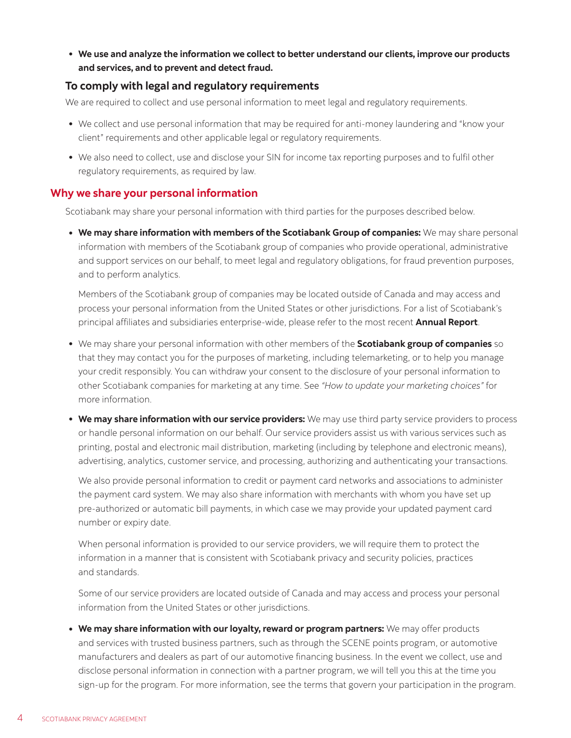**• We use and analyze the information we collect to better understand our clients, improve our products and services, and to prevent and detect fraud.**

#### **To comply with legal and regulatory requirements**

We are required to collect and use personal information to meet legal and regulatory requirements.

- **•** We collect and use personal information that may be required for anti-money laundering and "know your client" requirements and other applicable legal or regulatory requirements.
- **•** We also need to collect, use and disclose your SIN for income tax reporting purposes and to fulfil other regulatory requirements, as required by law.

#### **Why we share your personal information**

Scotiabank may share your personal information with third parties for the purposes described below.

**• We may share information with members of the Scotiabank Group of companies:** We may share personal information with members of the Scotiabank group of companies who provide operational, administrative and support services on our behalf, to meet legal and regulatory obligations, for fraud prevention purposes, and to perform analytics.

Members of the Scotiabank group of companies may be located outside of Canada and may access and process your personal information from the United States or other jurisdictions. For a list of Scotiabank's principal affiliates and subsidiaries enterprise-wide, please refer to the most recent **[Annual Report](https://www.scotiabank.com/ca/en/about/investors-shareholders/annual-reports.html)**.

- **•** We may share your personal information with other members of the **[Scotiabank group of companies](https://www.scotiabank.com/ca/en/personal/campaigns/scotiabank-members.html)** so that they may contact you for the purposes of marketing, including telemarketing, or to help you manage your credit responsibly. You can withdraw your consent to the disclosure of your personal information to other Scotiabank companies for marketing at any time. See *"How to update your marketing choices"* for more information.
- **• We may share information with our service providers:** We may use third party service providers to process or handle personal information on our behalf. Our service providers assist us with various services such as printing, postal and electronic mail distribution, marketing (including by telephone and electronic means), advertising, analytics, customer service, and processing, authorizing and authenticating your transactions.

We also provide personal information to credit or payment card networks and associations to administer the payment card system. We may also share information with merchants with whom you have set up pre-authorized or automatic bill payments, in which case we may provide your updated payment card number or expiry date.

When personal information is provided to our service providers, we will require them to protect the information in a manner that is consistent with Scotiabank privacy and security policies, practices and standards.

Some of our service providers are located outside of Canada and may access and process your personal information from the United States or other jurisdictions.

**• We may share information with our loyalty, reward or program partners:** We may offer products and services with trusted business partners, such as through the SCENE points program, or automotive manufacturers and dealers as part of our automotive financing business. In the event we collect, use and disclose personal information in connection with a partner program, we will tell you this at the time you sign-up for the program. For more information, see the terms that govern your participation in the program.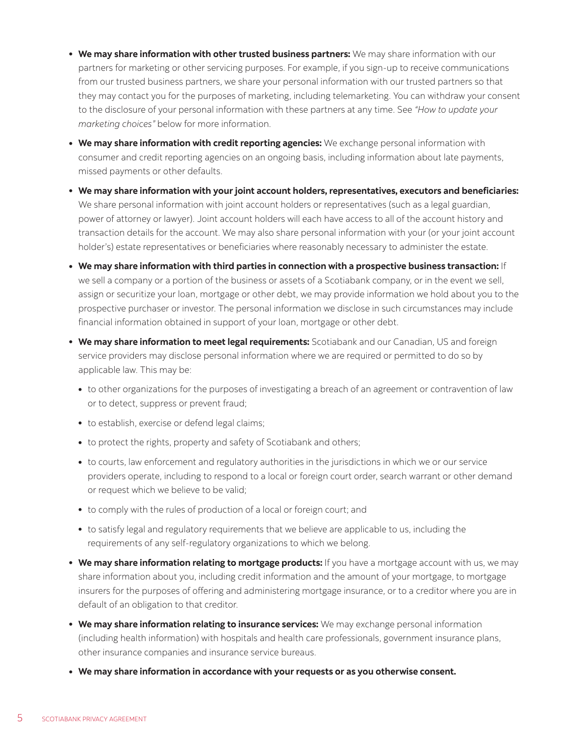- **• We may share information with other trusted business partners:** We may share information with our partners for marketing or other servicing purposes. For example, if you sign-up to receive communications from our trusted business partners, we share your personal information with our trusted partners so that they may contact you for the purposes of marketing, including telemarketing. You can withdraw your consent to the disclosure of your personal information with these partners at any time. See *"How to update your marketing choices"* below for more information.
- **• We may share information with credit reporting agencies:** We exchange personal information with consumer and credit reporting agencies on an ongoing basis, including information about late payments, missed payments or other defaults.
- **• We may share information with your joint account holders, representatives, executors and beneficiaries:** We share personal information with joint account holders or representatives (such as a legal guardian, power of attorney or lawyer). Joint account holders will each have access to all of the account history and transaction details for the account. We may also share personal information with your (or your joint account holder's) estate representatives or beneficiaries where reasonably necessary to administer the estate.
- **• We may share information with third parties in connection with a prospective business transaction:** If we sell a company or a portion of the business or assets of a Scotiabank company, or in the event we sell, assign or securitize your loan, mortgage or other debt, we may provide information we hold about you to the prospective purchaser or investor. The personal information we disclose in such circumstances may include financial information obtained in support of your loan, mortgage or other debt.
- **• We may share information to meet legal requirements:** Scotiabank and our Canadian, US and foreign service providers may disclose personal information where we are required or permitted to do so by applicable law. This may be:
	- **•** to other organizations for the purposes of investigating a breach of an agreement or contravention of law or to detect, suppress or prevent fraud;
	- **•** to establish, exercise or defend legal claims;
	- **•** to protect the rights, property and safety of Scotiabank and others;
	- **•** to courts, law enforcement and regulatory authorities in the jurisdictions in which we or our service providers operate, including to respond to a local or foreign court order, search warrant or other demand or request which we believe to be valid;
	- **•** to comply with the rules of production of a local or foreign court; and
	- **•** to satisfy legal and regulatory requirements that we believe are applicable to us, including the requirements of any self-regulatory organizations to which we belong.
- **• We may share information relating to mortgage products:** If you have a mortgage account with us, we may share information about you, including credit information and the amount of your mortgage, to mortgage insurers for the purposes of offering and administering mortgage insurance, or to a creditor where you are in default of an obligation to that creditor.
- **• We may share information relating to insurance services:** We may exchange personal information (including health information) with hospitals and health care professionals, government insurance plans, other insurance companies and insurance service bureaus.
- **• We may share information in accordance with your requests or as you otherwise consent.**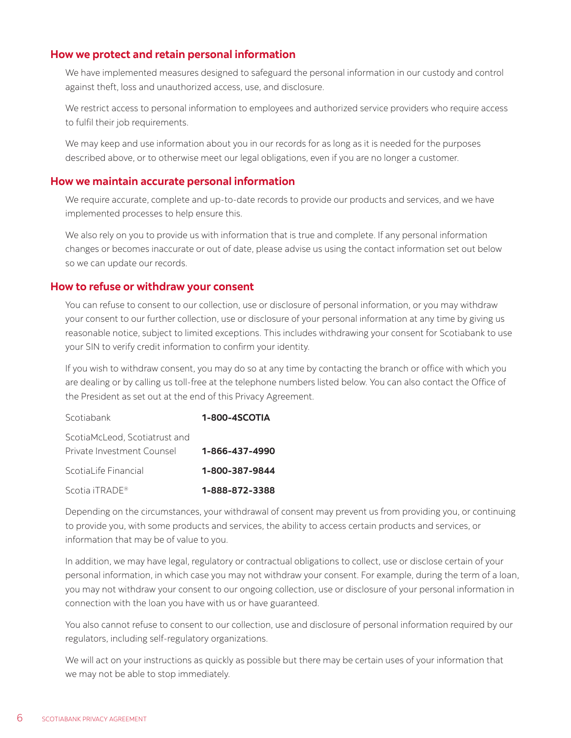#### **How we protect and retain personal information**

We have implemented measures designed to safeguard the personal information in our custody and control against theft, loss and unauthorized access, use, and disclosure.

We restrict access to personal information to employees and authorized service providers who require access to fulfil their job requirements.

We may keep and use information about you in our records for as long as it is needed for the purposes described above, or to otherwise meet our legal obligations, even if you are no longer a customer.

#### **How we maintain accurate personal information**

We require accurate, complete and up-to-date records to provide our products and services, and we have implemented processes to help ensure this.

We also rely on you to provide us with information that is true and complete. If any personal information changes or becomes inaccurate or out of date, please advise us using the contact information set out below so we can update our records.

#### **How to refuse or withdraw your consent**

You can refuse to consent to our collection, use or disclosure of personal information, or you may withdraw your consent to our further collection, use or disclosure of your personal information at any time by giving us reasonable notice, subject to limited exceptions. This includes withdrawing your consent for Scotiabank to use your SIN to verify credit information to confirm your identity.

If you wish to withdraw consent, you may do so at any time by contacting the branch or office with which you are dealing or by calling us toll-free at the telephone numbers listed below. You can also contact the Office of the President as set out at the end of this Privacy Agreement.

| Scotiabank                    | 1-800-4SCOTIA  |
|-------------------------------|----------------|
| ScotiaMcLeod, Scotiatrust and |                |
| Private Investment Counsel    | 1-866-437-4990 |
| ScotiaLife Financial          | 1-800-387-9844 |
| Scotia iTRADE <sup>®</sup>    | 1-888-872-3388 |

Depending on the circumstances, your withdrawal of consent may prevent us from providing you, or continuing to provide you, with some products and services, the ability to access certain products and services, or information that may be of value to you.

In addition, we may have legal, regulatory or contractual obligations to collect, use or disclose certain of your personal information, in which case you may not withdraw your consent. For example, during the term of a loan, you may not withdraw your consent to our ongoing collection, use or disclosure of your personal information in connection with the loan you have with us or have guaranteed.

You also cannot refuse to consent to our collection, use and disclosure of personal information required by our regulators, including self-regulatory organizations.

We will act on your instructions as quickly as possible but there may be certain uses of your information that we may not be able to stop immediately.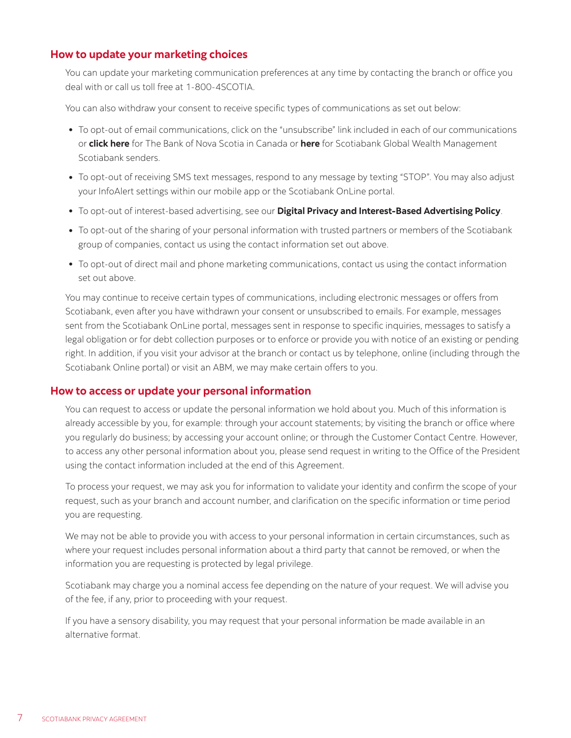#### **How to update your marketing choices**

You can update your marketing communication preferences at any time by contacting the branch or office you deal with or call us toll free at 1-800-4SCOTIA.

You can also withdraw your consent to receive specific types of communications as set out below:

- **•** To opt-out of email communications, click on the "unsubscribe" link included in each of our communications or **[click here](https://unsubscribe.scotiabank.com/?entid=BNS&buid=SBNK)** for The Bank of Nova Scotia in Canada or **[here](https://www.unsubscribe.gwm.scotiabank.com/?page=gwm)** for Scotiabank Global Wealth Management Scotiabank senders.
- **•** To opt-out of receiving SMS text messages, respond to any message by texting "STOP". You may also adjust your InfoAlert settings within our mobile app or the Scotiabank OnLine portal.
- **•** To opt-out of interest-based advertising, see our **[Digital Privacy and Interest-Based Advertising Policy](https://www.scotiabank.com/ca/en/about/contact-us/privacy/privacy-cookies.html)**.
- **•** To opt-out of the sharing of your personal information with trusted partners or members of the Scotiabank group of companies, contact us using the contact information set out above.
- **•** To opt-out of direct mail and phone marketing communications, contact us using the contact information set out above.

You may continue to receive certain types of communications, including electronic messages or offers from Scotiabank, even after you have withdrawn your consent or unsubscribed to emails. For example, messages sent from the Scotiabank OnLine portal, messages sent in response to specific inquiries, messages to satisfy a legal obligation or for debt collection purposes or to enforce or provide you with notice of an existing or pending right. In addition, if you visit your advisor at the branch or contact us by telephone, online (including through the Scotiabank Online portal) or visit an ABM, we may make certain offers to you.

#### **How to access or update your personal information**

You can request to access or update the personal information we hold about you. Much of this information is already accessible by you, for example: through your account statements; by visiting the branch or office where you regularly do business; by accessing your account online; or through the Customer Contact Centre. However, to access any other personal information about you, please send request in writing to the Office of the President using the contact information included at the end of this Agreement.

To process your request, we may ask you for information to validate your identity and confirm the scope of your request, such as your branch and account number, and clarification on the specific information or time period you are requesting.

We may not be able to provide you with access to your personal information in certain circumstances, such as where your request includes personal information about a third party that cannot be removed, or when the information you are requesting is protected by legal privilege.

Scotiabank may charge you a nominal access fee depending on the nature of your request. We will advise you of the fee, if any, prior to proceeding with your request.

If you have a sensory disability, you may request that your personal information be made available in an alternative format.